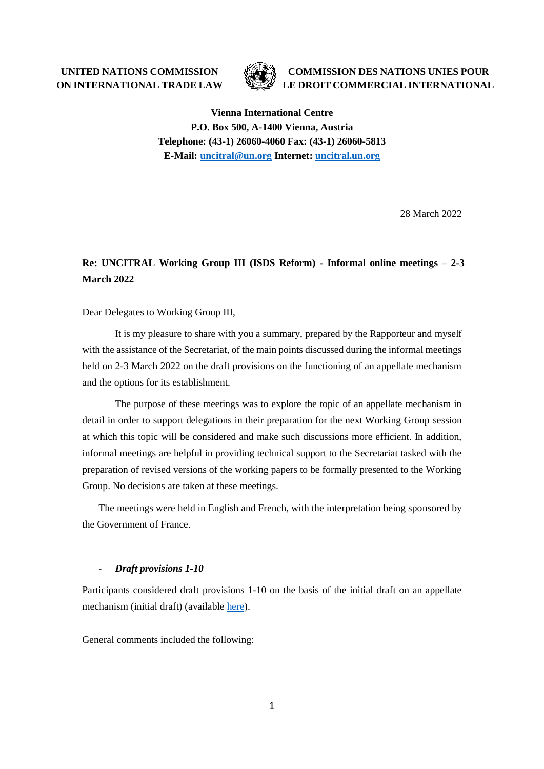**UNITED NATIONS COMMISSION ON INTERNATIONAL TRADE LAW**



**COMMISSION DES NATIONS UNIES POUR LE DROIT COMMERCIAL INTERNATIONAL**

**Vienna International Centre P.O. Box 500, A-1400 Vienna, Austria Telephone: (43-1) 26060-4060 Fax: (43-1) 26060-5813 E-Mail: [uncitral@un.org](mailto:uncitral@un.org) Internet: [uncitral.un.org](http://www.uncitral.org/)**

28 March 2022

# **Re: UNCITRAL Working Group III (ISDS Reform) - Informal online meetings – 2-3 March 2022**

Dear Delegates to Working Group III,

It is my pleasure to share with you a summary, prepared by the Rapporteur and myself with the assistance of the Secretariat, of the main points discussed during the informal meetings held on 2-3 March 2022 on the draft provisions on the functioning of an appellate mechanism and the options for its establishment.

The purpose of these meetings was to explore the topic of an appellate mechanism in detail in order to support delegations in their preparation for the next Working Group session at which this topic will be considered and make such discussions more efficient. In addition, informal meetings are helpful in providing technical support to the Secretariat tasked with the preparation of revised versions of the working papers to be formally presented to the Working Group. No decisions are taken at these meetings.

The meetings were held in English and French, with the interpretation being sponsored by the Government of France.

#### *Draft provisions 1-10*

Participants considered draft provisions 1-10 on the basis of the initial draft on an appellate mechanism (initial draft) (available [here\)](https://uncitral.un.org/en/draftworkingpapers).

General comments included the following: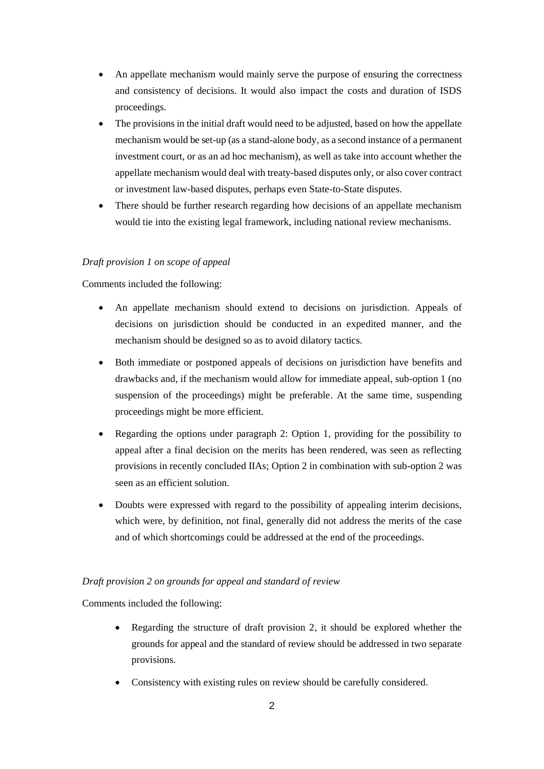- An appellate mechanism would mainly serve the purpose of ensuring the correctness and consistency of decisions. It would also impact the costs and duration of ISDS proceedings.
- The provisions in the initial draft would need to be adjusted, based on how the appellate mechanism would be set-up (as a stand-alone body, as a second instance of a permanent investment court, or as an ad hoc mechanism), as well as take into account whether the appellate mechanism would deal with treaty-based disputes only, or also cover contract or investment law-based disputes, perhaps even State-to-State disputes.
- There should be further research regarding how decisions of an appellate mechanism would tie into the existing legal framework, including national review mechanisms.

# *Draft provision 1 on scope of appeal*

Comments included the following:

- An appellate mechanism should extend to decisions on jurisdiction. Appeals of decisions on jurisdiction should be conducted in an expedited manner, and the mechanism should be designed so as to avoid dilatory tactics.
- Both immediate or postponed appeals of decisions on jurisdiction have benefits and drawbacks and, if the mechanism would allow for immediate appeal, sub-option 1 (no suspension of the proceedings) might be preferable. At the same time, suspending proceedings might be more efficient.
- Regarding the options under paragraph 2: Option 1, providing for the possibility to appeal after a final decision on the merits has been rendered, was seen as reflecting provisions in recently concluded IIAs; Option 2 in combination with sub-option 2 was seen as an efficient solution.
- Doubts were expressed with regard to the possibility of appealing interim decisions, which were, by definition, not final, generally did not address the merits of the case and of which shortcomings could be addressed at the end of the proceedings.

# *Draft provision 2 on grounds for appeal and standard of review*

Comments included the following:

- Regarding the structure of draft provision 2, it should be explored whether the grounds for appeal and the standard of review should be addressed in two separate provisions.
- Consistency with existing rules on review should be carefully considered.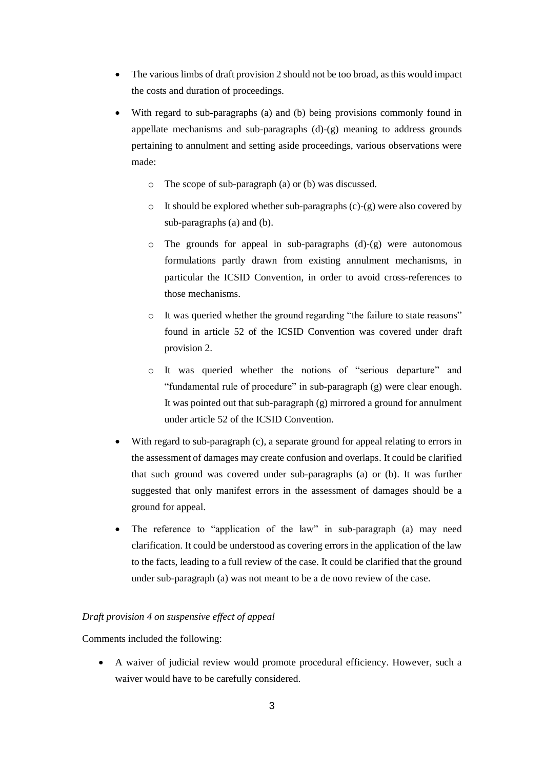- The various limbs of draft provision 2 should not be too broad, as this would impact the costs and duration of proceedings.
- With regard to sub-paragraphs (a) and (b) being provisions commonly found in appellate mechanisms and sub-paragraphs (d)-(g) meaning to address grounds pertaining to annulment and setting aside proceedings, various observations were made:
	- o The scope of sub-paragraph (a) or (b) was discussed.
	- $\circ$  It should be explored whether sub-paragraphs (c)-(g) were also covered by sub-paragraphs (a) and (b).
	- o The grounds for appeal in sub-paragraphs (d)-(g) were autonomous formulations partly drawn from existing annulment mechanisms, in particular the ICSID Convention, in order to avoid cross-references to those mechanisms.
	- o It was queried whether the ground regarding "the failure to state reasons" found in article 52 of the ICSID Convention was covered under draft provision 2.
	- o It was queried whether the notions of "serious departure" and "fundamental rule of procedure" in sub-paragraph (g) were clear enough. It was pointed out that sub-paragraph (g) mirrored a ground for annulment under article 52 of the ICSID Convention.
- With regard to sub-paragraph (c), a separate ground for appeal relating to errors in the assessment of damages may create confusion and overlaps. It could be clarified that such ground was covered under sub-paragraphs (a) or (b). It was further suggested that only manifest errors in the assessment of damages should be a ground for appeal.
- The reference to "application of the law" in sub-paragraph (a) may need clarification. It could be understood as covering errors in the application of the law to the facts, leading to a full review of the case. It could be clarified that the ground under sub-paragraph (a) was not meant to be a de novo review of the case.

# *Draft provision 4 on suspensive effect of appeal*

Comments included the following:

• A waiver of judicial review would promote procedural efficiency. However, such a waiver would have to be carefully considered.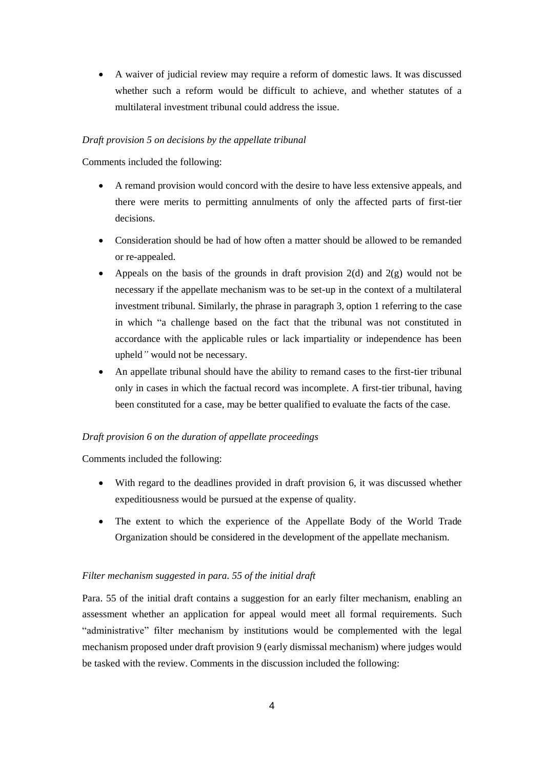• A waiver of judicial review may require a reform of domestic laws. It was discussed whether such a reform would be difficult to achieve, and whether statutes of a multilateral investment tribunal could address the issue.

#### *Draft provision 5 on decisions by the appellate tribunal*

Comments included the following:

- A remand provision would concord with the desire to have less extensive appeals, and there were merits to permitting annulments of only the affected parts of first-tier decisions.
- Consideration should be had of how often a matter should be allowed to be remanded or re-appealed.
- Appeals on the basis of the grounds in draft provision  $2(d)$  and  $2(g)$  would not be necessary if the appellate mechanism was to be set-up in the context of a multilateral investment tribunal. Similarly, the phrase in paragraph 3, option 1 referring to the case in which "a challenge based on the fact that the tribunal was not constituted in accordance with the applicable rules or lack impartiality or independence has been upheld*"* would not be necessary.
- An appellate tribunal should have the ability to remand cases to the first-tier tribunal only in cases in which the factual record was incomplete. A first-tier tribunal, having been constituted for a case, may be better qualified to evaluate the facts of the case.

# *Draft provision 6 on the duration of appellate proceedings*

Comments included the following:

- With regard to the deadlines provided in draft provision 6, it was discussed whether expeditiousness would be pursued at the expense of quality.
- The extent to which the experience of the Appellate Body of the World Trade Organization should be considered in the development of the appellate mechanism.

#### *Filter mechanism suggested in para. 55 of the initial draft*

Para. 55 of the initial draft contains a suggestion for an early filter mechanism, enabling an assessment whether an application for appeal would meet all formal requirements. Such "administrative" filter mechanism by institutions would be complemented with the legal mechanism proposed under draft provision 9 (early dismissal mechanism) where judges would be tasked with the review. Comments in the discussion included the following: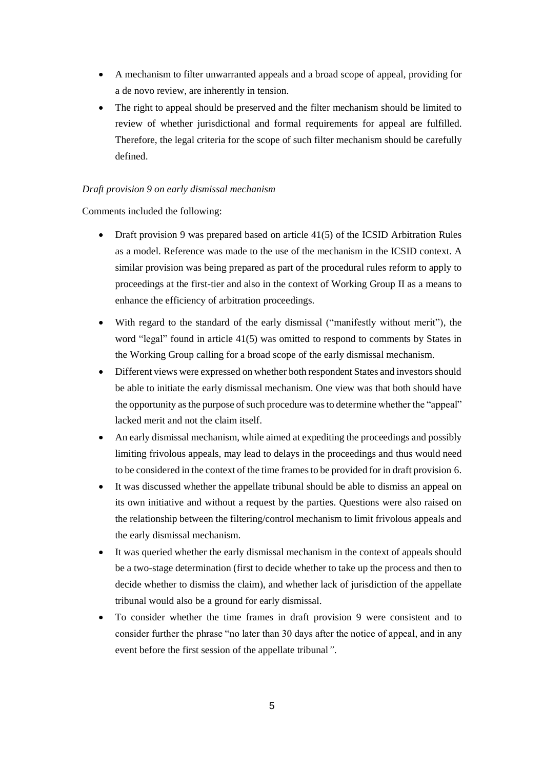- A mechanism to filter unwarranted appeals and a broad scope of appeal, providing for a de novo review, are inherently in tension.
- The right to appeal should be preserved and the filter mechanism should be limited to review of whether jurisdictional and formal requirements for appeal are fulfilled. Therefore, the legal criteria for the scope of such filter mechanism should be carefully defined.

# *Draft provision 9 on early dismissal mechanism*

Comments included the following:

- Draft provision 9 was prepared based on article 41(5) of the ICSID Arbitration Rules as a model. Reference was made to the use of the mechanism in the ICSID context. A similar provision was being prepared as part of the procedural rules reform to apply to proceedings at the first-tier and also in the context of Working Group II as a means to enhance the efficiency of arbitration proceedings.
- With regard to the standard of the early dismissal ("manifestly without merit"), the word "legal" found in article 41(5) was omitted to respond to comments by States in the Working Group calling for a broad scope of the early dismissal mechanism.
- Different views were expressed on whether both respondent States and investors should be able to initiate the early dismissal mechanism. One view was that both should have the opportunity as the purpose of such procedure wasto determine whether the "appeal" lacked merit and not the claim itself.
- An early dismissal mechanism, while aimed at expediting the proceedings and possibly limiting frivolous appeals, may lead to delays in the proceedings and thus would need to be considered in the context of the time frames to be provided for in draft provision 6.
- It was discussed whether the appellate tribunal should be able to dismiss an appeal on its own initiative and without a request by the parties. Questions were also raised on the relationship between the filtering/control mechanism to limit frivolous appeals and the early dismissal mechanism.
- It was queried whether the early dismissal mechanism in the context of appeals should be a two-stage determination (first to decide whether to take up the process and then to decide whether to dismiss the claim), and whether lack of jurisdiction of the appellate tribunal would also be a ground for early dismissal.
- To consider whether the time frames in draft provision 9 were consistent and to consider further the phrase "no later than 30 days after the notice of appeal, and in any event before the first session of the appellate tribunal*"*.